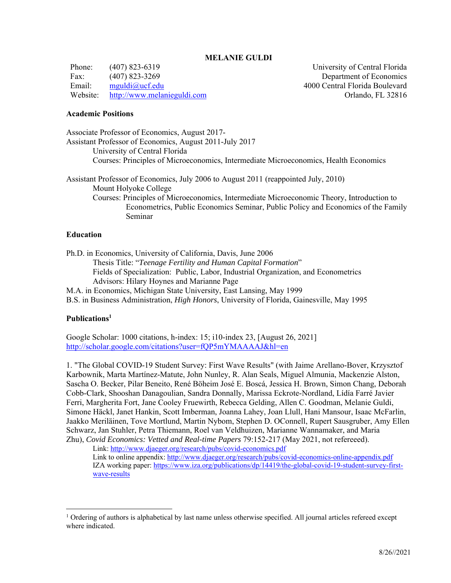### **MELANIE GULDI**

Phone: (407) 823-6319 University of Central Florida Fax: (407) 823-3269 Department of Economics Email: mguldi@ucf.edu 4000 Central Florida Boulevard Website: http://www.melanieguldi.com Orlando, FL 32816

## **Academic Positions**

Associate Professor of Economics, August 2017- Assistant Professor of Economics, August 2011-July 2017 University of Central Florida Courses: Principles of Microeconomics, Intermediate Microeconomics, Health Economics Assistant Professor of Economics, July 2006 to August 2011 (reappointed July, 2010) Mount Holyoke College Courses: Principles of Microeconomics, Intermediate Microeconomic Theory, Introduction to Econometrics, Public Economics Seminar, Public Policy and Economics of the Family Seminar

### **Education**

Ph.D. in Economics, University of California, Davis, June 2006 Thesis Title: "*Teenage Fertility and Human Capital Formation*" Fields of Specialization: Public, Labor, Industrial Organization, and Econometrics Advisors: Hilary Hoynes and Marianne Page M.A. in Economics, Michigan State University, East Lansing, May 1999

B.S. in Business Administration, *High Honors*, University of Florida, Gainesville, May 1995

### **Publications1**

Google Scholar: 1000 citations, h-index: 15; i10-index 23, [August 26, 2021] http://scholar.google.com/citations?user=fQP5mYMAAAAJ&hl=en

1. "The Global COVID-19 Student Survey: First Wave Results" (with Jaime Arellano-Bover, Krzysztof Karbownik, Marta Martínez-Matute, John Nunley, R. Alan Seals, Miguel Almunia, Mackenzie Alston, Sascha O. Becker, Pilar Beneito, René Böheim José E. Boscá, Jessica H. Brown, Simon Chang, Deborah Cobb-Clark, Shooshan Danagoulian, Sandra Donnally, Marissa Eckrote-Nordland, Lídía Farré Javier Ferri, Margherita Fort, Jane Cooley Fruewirth, Rebecca Gelding, Allen C. Goodman, Melanie Guldi, Simone Häckl, Janet Hankin, Scott Imberman, Joanna Lahey, Joan Llull, Hani Mansour, Isaac McFarlin, Jaakko Meriläinen, Tove Mortlund, Martin Nybom, Stephen D. OConnell, Rupert Sausgruber, Amy Ellen Schwarz, Jan Stuhler, Petra Thiemann, Roel van Veldhuizen, Marianne Wannamaker, and Maria Zhu), *Covid Economics: Vetted and Real-time Papers* 79:152-217 (May 2021, not refereeed).

Link: http://www.djaeger.org/research/pubs/covid-economics.pdf Link to online appendix: http://www.djaeger.org/research/pubs/covid-economics-online-appendix.pdf IZA working paper: https://www.iza.org/publications/dp/14419/the-global-covid-19-student-survey-firstwave-results

<sup>&</sup>lt;sup>1</sup> Ordering of authors is alphabetical by last name unless otherwise specified. All journal articles refereed except where indicated.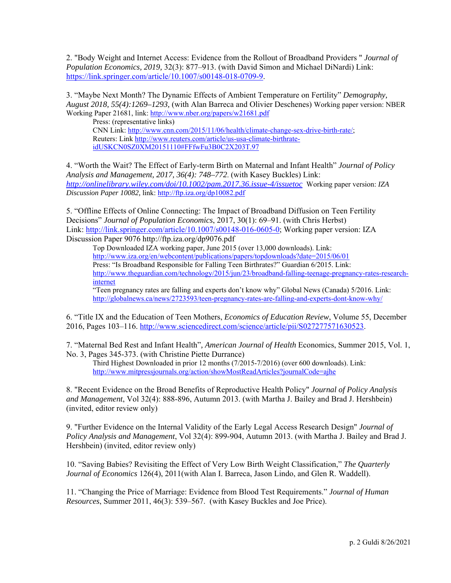2. "Body Weight and Internet Access: Evidence from the Rollout of Broadband Providers " *Journal of Population Economics, 2019,* 32(3): 877–913. (with David Simon and Michael DiNardi) Link: https://link.springer.com/article/10.1007/s00148-018-0709-9.

3. "Maybe Next Month? The Dynamic Effects of Ambient Temperature on Fertility" *Demography, August 2018, 55(4):1269–1293,* (with Alan Barreca and Olivier Deschenes) Working paper version: NBER Working Paper 21681, link: http://www.nber.org/papers/w21681.pdf

Press: (representative links) CNN Link: http://www.cnn.com/2015/11/06/health/climate-change-sex-drive-birth-rate/; Reuters: Link http://www.reuters.com/article/us-usa-climate-birthrateidUSKCN0SZ0XM20151110#FFfwFu3B0C2X203T.97

4. "Worth the Wait? The Effect of Early-term Birth on Maternal and Infant Health" *Journal of Policy Analysis and Management, 2017, 36(4): 748–772*. (with Kasey Buckles) Link: *http://onlinelibrary.wiley.com/doi/10.1002/pam.2017.36.issue-4/issuetoc* Working paper version: *IZA Discussion Paper 10082,* link: http://ftp.iza.org/dp10082.pdf

5. "Offline Effects of Online Connecting: The Impact of Broadband Diffusion on Teen Fertility Decisions" *Journal of Population Economics*, 2017, 30(1): 69–91. (with Chris Herbst) Link: http://link.springer.com/article/10.1007/s00148-016-0605-0; Working paper version: IZA Discussion Paper 9076 http://ftp.iza.org/dp9076.pdf

Top Downloaded IZA working paper, June 2015 (over 13,000 downloads). Link: http://www.iza.org/en/webcontent/publications/papers/topdownloads?date=2015/06/01 Press: "Is Broadband Responsible for Falling Teen Birthrates?" Guardian 6/2015. Link: http://www.theguardian.com/technology/2015/jun/23/broadband-falling-teenage-pregnancy-rates-researchinternet "Teen pregnancy rates are falling and experts don't know why" Global News (Canada) 5/2016. Link:

http://globalnews.ca/news/2723593/teen-pregnancy-rates-are-falling-and-experts-dont-know-why/

6. "Title IX and the Education of Teen Mothers, *Economics of Education Review*, Volume 55, December 2016, Pages 103–116. http://www.sciencedirect.com/science/article/pii/S027277571630523.

7. "Maternal Bed Rest and Infant Health"*, American Journal of Health* Economics, Summer 2015, Vol. 1, No. 3, Pages 345-373. (with Christine Piette Durrance)

Third Highest Downloaded in prior 12 months (7/2015-7/2016) (over 600 downloads). Link: http://www.mitpressjournals.org/action/showMostReadArticles?journalCode=ajhe

8. "Recent Evidence on the Broad Benefits of Reproductive Health Policy" *Journal of Policy Analysis and Management*, Vol 32(4): 888-896, Autumn 2013. (with Martha J. Bailey and Brad J. Hershbein) (invited, editor review only)

9. "Further Evidence on the Internal Validity of the Early Legal Access Research Design" *Journal of Policy Analysis and Management*, Vol 32(4): 899-904, Autumn 2013. (with Martha J. Bailey and Brad J. Hershbein) (invited, editor review only)

10. "Saving Babies? Revisiting the Effect of Very Low Birth Weight Classification," *The Quarterly Journal of Economics* 126(4), 2011(with Alan I. Barreca, Jason Lindo, and Glen R. Waddell).

11. "Changing the Price of Marriage: Evidence from Blood Test Requirements." *Journal of Human Resources*, Summer 2011, 46(3): 539–567. (with Kasey Buckles and Joe Price).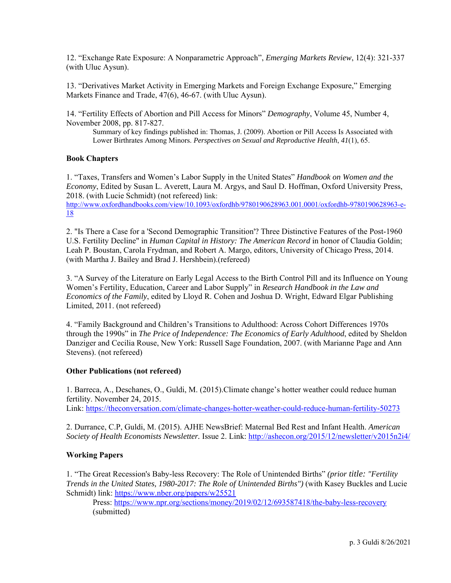12. "Exchange Rate Exposure: A Nonparametric Approach", *Emerging Markets Review*, 12(4): 321-337 (with Uluc Aysun).

13. "Derivatives Market Activity in Emerging Markets and Foreign Exchange Exposure," Emerging Markets Finance and Trade, 47(6), 46-67. (with Uluc Aysun).

14. "Fertility Effects of Abortion and Pill Access for Minors" *Demography*, Volume 45, Number 4, November 2008, pp. 817-827.

Summary of key findings published in: Thomas, J. (2009). Abortion or Pill Access Is Associated with Lower Birthrates Among Minors. *Perspectives on Sexual and Reproductive Health*, *41*(1), 65.

#### **Book Chapters**

1. "Taxes, Transfers and Women's Labor Supply in the United States" *Handbook on Women and the Economy*, Edited by Susan L. Averett, Laura M. Argys, and Saul D. Hoffman, Oxford University Press, 2018. (with Lucie Schmidt) (not refereed) link:

http://www.oxfordhandbooks.com/view/10.1093/oxfordhb/9780190628963.001.0001/oxfordhb-9780190628963-e-18

2. "Is There a Case for a 'Second Demographic Transition'? Three Distinctive Features of the Post-1960 U.S. Fertility Decline" in *Human Capital in History: The American Record* in honor of Claudia Goldin; Leah P. Boustan, Carola Frydman, and Robert A. Margo, editors, University of Chicago Press, 2014. (with Martha J. Bailey and Brad J. Hershbein).(refereed)

3. "A Survey of the Literature on Early Legal Access to the Birth Control Pill and its Influence on Young Women's Fertility, Education, Career and Labor Supply" in *Research Handbook in the Law and Economics of the Family*, edited by Lloyd R. Cohen and Joshua D. Wright, Edward Elgar Publishing Limited, 2011. (not refereed)

4. "Family Background and Children's Transitions to Adulthood: Across Cohort Differences 1970s through the 1990s" in *The Price of Independence: The Economics of Early Adulthood*, edited by Sheldon Danziger and Cecilia Rouse, New York: Russell Sage Foundation, 2007. (with Marianne Page and Ann Stevens). (not refereed)

#### **Other Publications (not refereed)**

1. Barreca, A., Deschanes, O., Guldi, M. (2015).Climate change's hotter weather could reduce human fertility. November 24, 2015. Link: https://theconversation.com/climate-changes-hotter-weather-could-reduce-human-fertility-50273

2. Durrance, C.P, Guldi, M. (2015). AJHE NewsBrief: Maternal Bed Rest and Infant Health. *American Society of Health Economists Newsletter.* Issue 2. Link: http://ashecon.org/2015/12/newsletter/v2015n2i4/

#### **Working Papers**

1. "The Great Recession's Baby-less Recovery: The Role of Unintended Births" *(prior title: "Fertility Trends in the United States, 1980-2017: The Role of Unintended Births")* (with Kasey Buckles and Lucie Schmidt) link: https://www.nber.org/papers/w25521

 Press: https://www.npr.org/sections/money/2019/02/12/693587418/the-baby-less-recovery (submitted)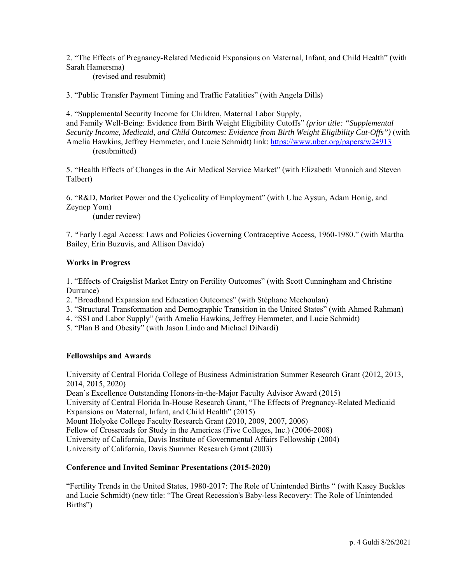2. "The Effects of Pregnancy-Related Medicaid Expansions on Maternal, Infant, and Child Health" (with Sarah Hamersma)

(revised and resubmit)

3. "Public Transfer Payment Timing and Traffic Fatalities" (with Angela Dills)

4. "Supplemental Security Income for Children, Maternal Labor Supply, and Family Well-Being: Evidence from Birth Weight Eligibility Cutoffs" *(prior title: "Supplemental Security Income, Medicaid, and Child Outcomes: Evidence from Birth Weight Eligibility Cut-Offs")* (with Amelia Hawkins, Jeffrey Hemmeter, and Lucie Schmidt) link: https://www.nber.org/papers/w24913 (resubmitted)

5. "Health Effects of Changes in the Air Medical Service Market" (with Elizabeth Munnich and Steven Talbert)

6. "R&D, Market Power and the Cyclicality of Employment" (with Uluc Aysun, Adam Honig, and Zeynep Yom)

(under review)

7. *"*Early Legal Access: Laws and Policies Governing Contraceptive Access, 1960-1980." (with Martha Bailey, Erin Buzuvis, and Allison Davido)

### **Works in Progress**

1. "Effects of Craigslist Market Entry on Fertility Outcomes" (with Scott Cunningham and Christine Durrance)

2. "Broadband Expansion and Education Outcomes" (with Stéphane Mechoulan)

- 3. "Structural Transformation and Demographic Transition in the United States" (with Ahmed Rahman)
- 4. "SSI and Labor Supply" (with Amelia Hawkins, Jeffrey Hemmeter, and Lucie Schmidt)
- 5. "Plan B and Obesity" (with Jason Lindo and Michael DiNardi)

### **Fellowships and Awards**

University of Central Florida College of Business Administration Summer Research Grant (2012, 2013, 2014, 2015, 2020)

Dean's Excellence Outstanding Honors-in-the-Major Faculty Advisor Award (2015) University of Central Florida In-House Research Grant, "The Effects of Pregnancy-Related Medicaid Expansions on Maternal, Infant, and Child Health" (2015) Mount Holyoke College Faculty Research Grant (2010, 2009, 2007, 2006) Fellow of Crossroads for Study in the Americas (Five Colleges, Inc.) (2006-2008) University of California, Davis Institute of Governmental Affairs Fellowship (2004) University of California, Davis Summer Research Grant (2003)

### **Conference and Invited Seminar Presentations (2015-2020)**

"Fertility Trends in the United States, 1980-2017: The Role of Unintended Births " (with Kasey Buckles and Lucie Schmidt) (new title: "The Great Recession's Baby-less Recovery: The Role of Unintended Births")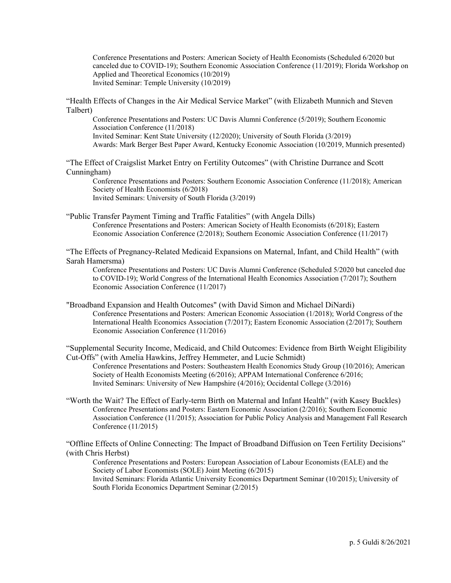Conference Presentations and Posters: American Society of Health Economists (Scheduled 6/2020 but canceled due to COVID-19); Southern Economic Association Conference (11/2019); Florida Workshop on Applied and Theoretical Economics (10/2019) Invited Seminar: Temple University (10/2019)

"Health Effects of Changes in the Air Medical Service Market" (with Elizabeth Munnich and Steven Talbert)

Conference Presentations and Posters: UC Davis Alumni Conference (5/2019); Southern Economic Association Conference (11/2018) Invited Seminar: Kent State University (12/2020); University of South Florida (3/2019) Awards: Mark Berger Best Paper Award, Kentucky Economic Association (10/2019, Munnich presented)

"The Effect of Craigslist Market Entry on Fertility Outcomes" (with Christine Durrance and Scott Cunningham)

Conference Presentations and Posters: Southern Economic Association Conference (11/2018); American Society of Health Economists (6/2018) Invited Seminars: University of South Florida (3/2019)

"Public Transfer Payment Timing and Traffic Fatalities" (with Angela Dills) Conference Presentations and Posters: American Society of Health Economists (6/2018); Eastern Economic Association Conference (2/2018); Southern Economic Association Conference (11/2017)

"The Effects of Pregnancy-Related Medicaid Expansions on Maternal, Infant, and Child Health" (with Sarah Hamersma)

Conference Presentations and Posters: UC Davis Alumni Conference (Scheduled 5/2020 but canceled due to COVID-19); World Congress of the International Health Economics Association (7/2017); Southern Economic Association Conference (11/2017)

"Broadband Expansion and Health Outcomes" (with David Simon and Michael DiNardi) Conference Presentations and Posters: American Economic Association (1/2018); World Congress of the International Health Economics Association (7/2017); Eastern Economic Association (2/2017); Southern Economic Association Conference (11/2016)

"Supplemental Security Income, Medicaid, and Child Outcomes: Evidence from Birth Weight Eligibility Cut-Offs" (with Amelia Hawkins, Jeffrey Hemmeter, and Lucie Schmidt)

Conference Presentations and Posters: Southeastern Health Economics Study Group (10/2016); American Society of Health Economists Meeting (6/2016); APPAM International Conference 6/2016; Invited Seminars: University of New Hampshire (4/2016); Occidental College (3/2016)

"Worth the Wait? The Effect of Early-term Birth on Maternal and Infant Health" (with Kasey Buckles) Conference Presentations and Posters: Eastern Economic Association (2/2016); Southern Economic Association Conference (11/2015); Association for Public Policy Analysis and Management Fall Research Conference (11/2015)

"Offline Effects of Online Connecting: The Impact of Broadband Diffusion on Teen Fertility Decisions" (with Chris Herbst)

Conference Presentations and Posters: European Association of Labour Economists (EALE) and the Society of Labor Economists (SOLE) Joint Meeting (6/2015)

Invited Seminars: Florida Atlantic University Economics Department Seminar (10/2015); University of South Florida Economics Department Seminar (2/2015)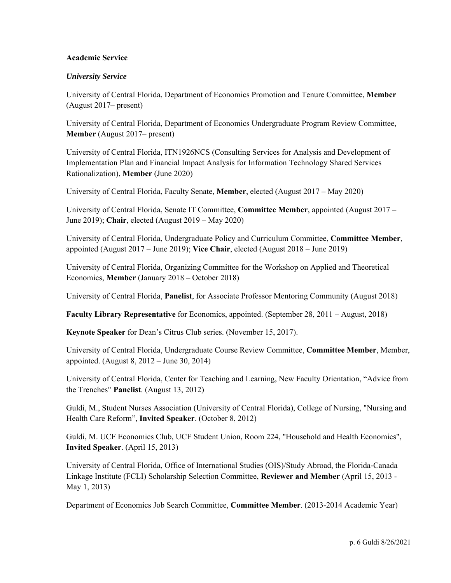## **Academic Service**

## *University Service*

University of Central Florida, Department of Economics Promotion and Tenure Committee, **Member** (August 2017– present)

University of Central Florida, Department of Economics Undergraduate Program Review Committee, **Member** (August 2017– present)

University of Central Florida, ITN1926NCS (Consulting Services for Analysis and Development of Implementation Plan and Financial Impact Analysis for Information Technology Shared Services Rationalization), **Member** (June 2020)

University of Central Florida, Faculty Senate, **Member**, elected (August 2017 – May 2020)

University of Central Florida, Senate IT Committee, **Committee Member**, appointed (August 2017 – June 2019); **Chair**, elected (August 2019 – May 2020)

University of Central Florida, Undergraduate Policy and Curriculum Committee, **Committee Member**, appointed (August 2017 – June 2019); **Vice Chair**, elected (August 2018 – June 2019)

University of Central Florida, Organizing Committee for the Workshop on Applied and Theoretical Economics, **Member** (January 2018 – October 2018)

University of Central Florida, **Panelist**, for Associate Professor Mentoring Community (August 2018)

**Faculty Library Representative** for Economics, appointed. (September 28, 2011 – August, 2018)

**Keynote Speaker** for Dean's Citrus Club series. (November 15, 2017).

University of Central Florida, Undergraduate Course Review Committee, **Committee Member**, Member, appointed. (August 8, 2012 – June 30, 2014)

University of Central Florida, Center for Teaching and Learning, New Faculty Orientation, "Advice from the Trenches" **Panelist**. (August 13, 2012)

Guldi, M., Student Nurses Association (University of Central Florida), College of Nursing, "Nursing and Health Care Reform", **Invited Speaker**. (October 8, 2012)

Guldi, M. UCF Economics Club, UCF Student Union, Room 224, "Household and Health Economics", **Invited Speaker**. (April 15, 2013)

University of Central Florida, Office of International Studies (OIS)/Study Abroad, the Florida-Canada Linkage Institute (FCLI) Scholarship Selection Committee, **Reviewer and Member** (April 15, 2013 - May 1, 2013)

Department of Economics Job Search Committee, **Committee Member**. (2013-2014 Academic Year)